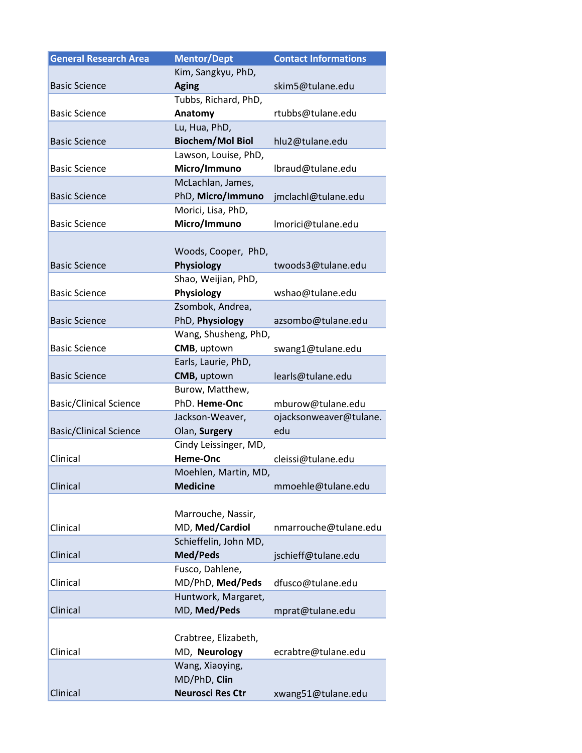| <b>General Research Area</b>  | <b>Mentor/Dept</b>      | <b>Contact Informations</b> |
|-------------------------------|-------------------------|-----------------------------|
|                               | Kim, Sangkyu, PhD,      |                             |
| <b>Basic Science</b>          | <b>Aging</b>            | skim5@tulane.edu            |
|                               | Tubbs, Richard, PhD,    |                             |
| <b>Basic Science</b>          | Anatomy                 | rtubbs@tulane.edu           |
|                               | Lu, Hua, PhD,           |                             |
| <b>Basic Science</b>          | <b>Biochem/Mol Biol</b> | hlu2@tulane.edu             |
|                               | Lawson, Louise, PhD,    |                             |
| <b>Basic Science</b>          | Micro/Immuno            | lbraud@tulane.edu           |
|                               | McLachlan, James,       |                             |
| <b>Basic Science</b>          | PhD, Micro/Immuno       | jmclachl@tulane.edu         |
|                               | Morici, Lisa, PhD,      |                             |
| <b>Basic Science</b>          | Micro/Immuno            | Imorici@tulane.edu          |
|                               |                         |                             |
|                               | Woods, Cooper, PhD,     |                             |
| <b>Basic Science</b>          | Physiology              | twoods3@tulane.edu          |
|                               | Shao, Weijian, PhD,     |                             |
| <b>Basic Science</b>          | Physiology              | wshao@tulane.edu            |
|                               | Zsombok, Andrea,        |                             |
| <b>Basic Science</b>          | PhD, Physiology         | azsombo@tulane.edu          |
|                               | Wang, Shusheng, PhD,    |                             |
| <b>Basic Science</b>          | CMB, uptown             | swang1@tulane.edu           |
|                               | Earls, Laurie, PhD,     |                             |
| <b>Basic Science</b>          | CMB, uptown             | learls@tulane.edu           |
|                               | Burow, Matthew,         |                             |
| <b>Basic/Clinical Science</b> | PhD. Heme-Onc           | mburow@tulane.edu           |
|                               | Jackson-Weaver,         | ojacksonweaver@tulane.      |
| <b>Basic/Clinical Science</b> | Olan, Surgery           | edu                         |
|                               | Cindy Leissinger, MD,   |                             |
| Clinical                      | Heme-Onc                | cleissi@tulane.edu          |
|                               | Moehlen, Martin, MD,    |                             |
| Clinical                      | <b>Medicine</b>         | mmoehle@tulane.edu          |
|                               |                         |                             |
|                               | Marrouche, Nassir,      |                             |
| Clinical                      | MD, Med/Cardiol         | nmarrouche@tulane.edu       |
|                               | Schieffelin, John MD,   |                             |
| Clinical                      | Med/Peds                | jschieff@tulane.edu         |
|                               | Fusco, Dahlene,         |                             |
| Clinical                      | MD/PhD, Med/Peds        | dfusco@tulane.edu           |
|                               | Huntwork, Margaret,     |                             |
| Clinical                      | MD, Med/Peds            | mprat@tulane.edu            |
|                               |                         |                             |
|                               | Crabtree, Elizabeth,    |                             |
| Clinical                      | MD, Neurology           | ecrabtre@tulane.edu         |
|                               | Wang, Xiaoying,         |                             |
|                               | MD/PhD, Clin            |                             |
| Clinical                      | <b>Neurosci Res Ctr</b> | xwang51@tulane.edu          |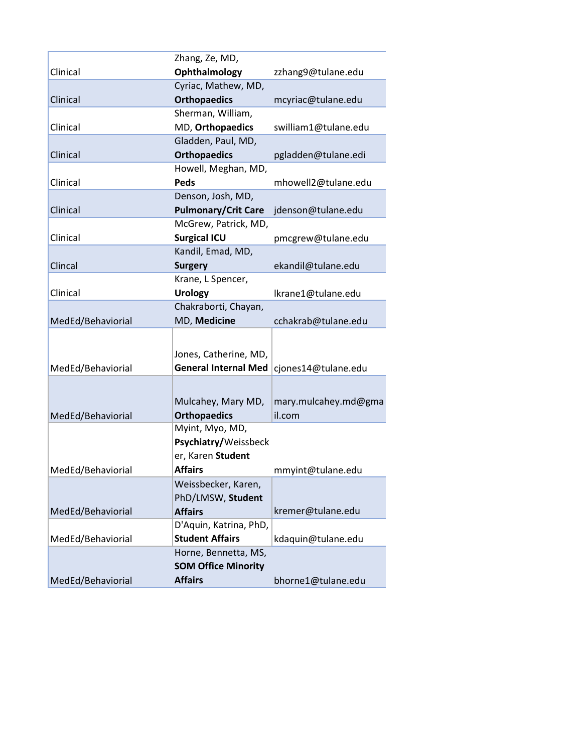|                   | Zhang, Ze, MD,              |                      |
|-------------------|-----------------------------|----------------------|
| Clinical          | Ophthalmology               | zzhang9@tulane.edu   |
|                   | Cyriac, Mathew, MD,         |                      |
| Clinical          | <b>Orthopaedics</b>         | mcyriac@tulane.edu   |
|                   | Sherman, William,           |                      |
| Clinical          | MD, Orthopaedics            | swilliam1@tulane.edu |
|                   | Gladden, Paul, MD,          |                      |
| Clinical          | <b>Orthopaedics</b>         | pgladden@tulane.edi  |
|                   | Howell, Meghan, MD,         |                      |
| Clinical          | Peds                        | mhowell2@tulane.edu  |
|                   | Denson, Josh, MD,           |                      |
| Clinical          | <b>Pulmonary/Crit Care</b>  | jdenson@tulane.edu   |
|                   | McGrew, Patrick, MD,        |                      |
| Clinical          | <b>Surgical ICU</b>         | pmcgrew@tulane.edu   |
|                   | Kandil, Emad, MD,           |                      |
| Clincal           | <b>Surgery</b>              | ekandil@tulane.edu   |
|                   | Krane, L Spencer,           |                      |
| Clinical          | <b>Urology</b>              | Ikrane1@tulane.edu   |
|                   | Chakraborti, Chayan,        |                      |
| MedEd/Behaviorial | MD, Medicine                | cchakrab@tulane.edu  |
|                   |                             |                      |
|                   | Jones, Catherine, MD,       |                      |
| MedEd/Behaviorial | <b>General Internal Med</b> | cjones14@tulane.edu  |
|                   |                             |                      |
|                   |                             |                      |
|                   | Mulcahey, Mary MD,          | mary.mulcahey.md@gma |
| MedEd/Behaviorial | <b>Orthopaedics</b>         | il.com               |
|                   | Myint, Myo, MD,             |                      |
|                   | Psychiatry/Weissbeck        |                      |
|                   | er, Karen Student           |                      |
| MedEd/Behaviorial | <b>Affairs</b>              | mmyint@tulane.edu    |
|                   | Weissbecker, Karen,         |                      |
|                   | PhD/LMSW, Student           |                      |
| MedEd/Behaviorial | <b>Affairs</b>              | kremer@tulane.edu    |
|                   | D'Aquin, Katrina, PhD,      |                      |
| MedEd/Behaviorial | <b>Student Affairs</b>      | kdaquin@tulane.edu   |
|                   | Horne, Bennetta, MS,        |                      |
|                   | <b>SOM Office Minority</b>  |                      |
| MedEd/Behaviorial | <b>Affairs</b>              | bhorne1@tulane.edu   |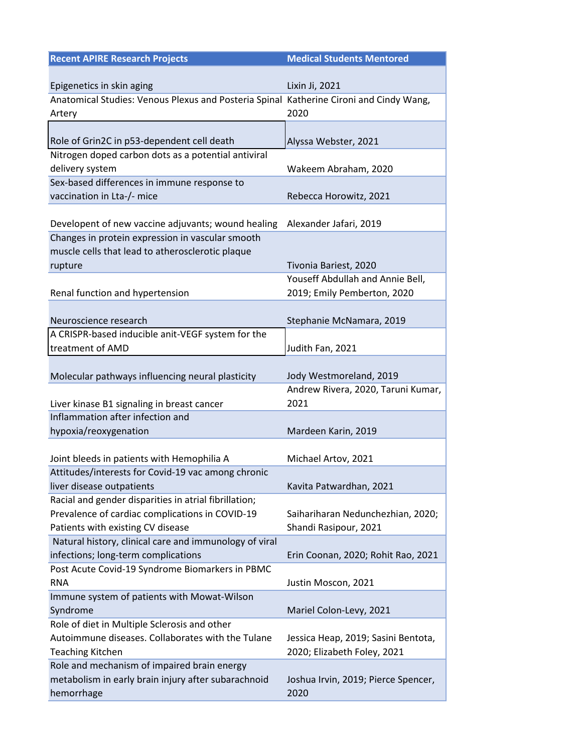| <b>Recent APIRE Research Projects</b>                                                                | <b>Medical Students Mentored</b>                          |
|------------------------------------------------------------------------------------------------------|-----------------------------------------------------------|
|                                                                                                      |                                                           |
| Epigenetics in skin aging                                                                            | Lixin Ji, 2021                                            |
| Anatomical Studies: Venous Plexus and Posteria Spinal Katherine Cironi and Cindy Wang,               |                                                           |
| Artery                                                                                               | 2020                                                      |
|                                                                                                      |                                                           |
| Role of Grin2C in p53-dependent cell death                                                           | Alyssa Webster, 2021                                      |
| Nitrogen doped carbon dots as a potential antiviral                                                  |                                                           |
| delivery system                                                                                      | Wakeem Abraham, 2020                                      |
| Sex-based differences in immune response to                                                          |                                                           |
| vaccination in Lta-/- mice                                                                           | Rebecca Horowitz, 2021                                    |
|                                                                                                      |                                                           |
| Developent of new vaccine adjuvants; wound healing                                                   | Alexander Jafari, 2019                                    |
| Changes in protein expression in vascular smooth<br>muscle cells that lead to atherosclerotic plaque |                                                           |
|                                                                                                      |                                                           |
| rupture                                                                                              | Tivonia Bariest, 2020<br>Youseff Abdullah and Annie Bell, |
| Renal function and hypertension                                                                      | 2019; Emily Pemberton, 2020                               |
|                                                                                                      |                                                           |
| Neuroscience research                                                                                | Stephanie McNamara, 2019                                  |
| A CRISPR-based inducible anit-VEGF system for the                                                    |                                                           |
| treatment of AMD                                                                                     | Judith Fan, 2021                                          |
|                                                                                                      |                                                           |
| Molecular pathways influencing neural plasticity                                                     | Jody Westmoreland, 2019                                   |
|                                                                                                      | Andrew Rivera, 2020, Taruni Kumar,                        |
| Liver kinase B1 signaling in breast cancer                                                           | 2021                                                      |
| Inflammation after infection and                                                                     |                                                           |
| hypoxia/reoxygenation                                                                                | Mardeen Karin, 2019                                       |
|                                                                                                      |                                                           |
| Joint bleeds in patients with Hemophilia A                                                           | Michael Artov, 2021                                       |
| Attitudes/interests for Covid-19 vac among chronic                                                   |                                                           |
| liver disease outpatients                                                                            | Kavita Patwardhan, 2021                                   |
| Racial and gender disparities in atrial fibrillation;                                                |                                                           |
| Prevalence of cardiac complications in COVID-19                                                      | Saihariharan Nedunchezhian, 2020;                         |
| Patients with existing CV disease                                                                    | Shandi Rasipour, 2021                                     |
| Natural history, clinical care and immunology of viral                                               |                                                           |
| infections; long-term complications                                                                  | Erin Coonan, 2020; Rohit Rao, 2021                        |
| Post Acute Covid-19 Syndrome Biomarkers in PBMC                                                      |                                                           |
| <b>RNA</b>                                                                                           | Justin Moscon, 2021                                       |
| Immune system of patients with Mowat-Wilson                                                          |                                                           |
| Syndrome                                                                                             | Mariel Colon-Levy, 2021                                   |
| Role of diet in Multiple Sclerosis and other                                                         |                                                           |
| Autoimmune diseases. Collaborates with the Tulane                                                    | Jessica Heap, 2019; Sasini Bentota,                       |
| <b>Teaching Kitchen</b>                                                                              | 2020; Elizabeth Foley, 2021                               |
| Role and mechanism of impaired brain energy                                                          |                                                           |
| metabolism in early brain injury after subarachnoid                                                  | Joshua Irvin, 2019; Pierce Spencer,                       |
| hemorrhage                                                                                           | 2020                                                      |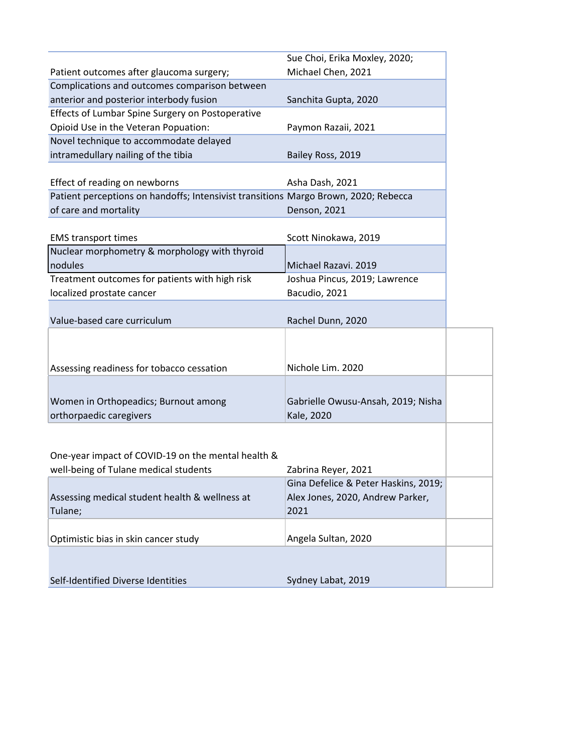|                                                                                             | Sue Choi, Erika Moxley, 2020;            |
|---------------------------------------------------------------------------------------------|------------------------------------------|
| Patient outcomes after glaucoma surgery;                                                    | Michael Chen, 2021                       |
| Complications and outcomes comparison between                                               |                                          |
| anterior and posterior interbody fusion                                                     | Sanchita Gupta, 2020                     |
| Effects of Lumbar Spine Surgery on Postoperative                                            |                                          |
| Opioid Use in the Veteran Popuation:                                                        | Paymon Razaii, 2021                      |
| Novel technique to accommodate delayed                                                      |                                          |
| intramedullary nailing of the tibia                                                         | Bailey Ross, 2019                        |
|                                                                                             |                                          |
| Effect of reading on newborns                                                               | Asha Dash, 2021                          |
| Patient perceptions on handoffs; Intensivist transitions Margo Brown, 2020; Rebecca         |                                          |
| of care and mortality                                                                       | Denson, 2021                             |
|                                                                                             |                                          |
| <b>EMS transport times</b>                                                                  | Scott Ninokawa, 2019                     |
| Nuclear morphometry & morphology with thyroid                                               |                                          |
| nodules                                                                                     | Michael Razavi. 2019                     |
| Treatment outcomes for patients with high risk                                              | Joshua Pincus, 2019; Lawrence            |
| localized prostate cancer                                                                   | Bacudio, 2021                            |
|                                                                                             |                                          |
| Value-based care curriculum                                                                 | Rachel Dunn, 2020                        |
|                                                                                             |                                          |
|                                                                                             |                                          |
| Assessing readiness for tobacco cessation                                                   | Nichole Lim. 2020                        |
|                                                                                             |                                          |
|                                                                                             |                                          |
| Women in Orthopeadics; Burnout among                                                        | Gabrielle Owusu-Ansah, 2019; Nisha       |
| orthorpaedic caregivers                                                                     | Kale, 2020                               |
|                                                                                             |                                          |
|                                                                                             |                                          |
| One-year impact of COVID-19 on the mental health &<br>well-being of Tulane medical students |                                          |
|                                                                                             | Zabrina Reyer, 2021                      |
|                                                                                             | Gina Defelice & Peter Haskins, 2019;     |
| Assessing medical student health & wellness at                                              | Alex Jones, 2020, Andrew Parker,<br>2021 |
| Tulane;                                                                                     |                                          |
|                                                                                             |                                          |
| Optimistic bias in skin cancer study                                                        | Angela Sultan, 2020                      |
|                                                                                             |                                          |
|                                                                                             | Sydney Labat, 2019                       |
| Self-Identified Diverse Identities                                                          |                                          |